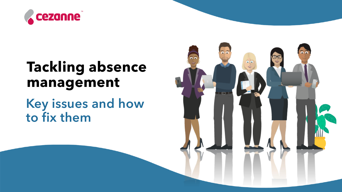

#### **Tackling absence management**

Key issues and how to fix them

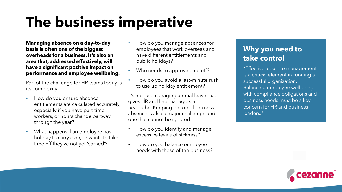### **The business imperative**

**Managing absence on a day-to-day basis is often one of the biggest overheads for a business. It's also an area that, addressed effectively, will have a significant positive impact on performance and employee wellbeing.** 

Part of the challenge for HR teams today is its complexity:

- How do you ensure absence entitlements are calculated accurately, especially if you have part-time workers, or hours change partway through the year?
- What happens if an employee has holiday to carry over, or wants to take time off they've not yet 'earned'?
- How do you manage absences for employees that work overseas and have different entitlements and public holidays?
- Who needs to approve time off?
- How do you avoid a last-minute rush to use up holiday entitlement?

It's not just managing annual leave that gives HR and line managers a headache. Keeping on top of sickness absence is also a major challenge, and one that cannot be ignored.

- How do you identify and manage excessive levels of sickness?
- How do you balance employee needs with those of the business?

#### **Why you need to take control**

"Effective absence management is a critical element in running a successful organization. Balancing employee wellbeing with compliance obligations and business needs must be a key concern for HR and business leaders."

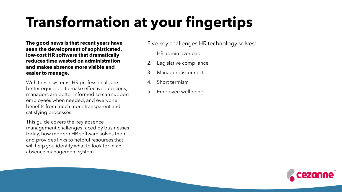# **Transformation at your fingertips**

**The good news is that recent years have seen the development of sophisticated, low-cost HR software that dramatically reduces time wasted on administration and makes absence more visible and easier to manage.** 

With these systems, HR professionals are better equipped to make effective decisions, managers are better informed so can support employees when needed, and everyone benefits from much more transparent and satisfying processes.

This guide covers the key absence management challenges faced by businesses today, how modern HR software solves them and provides links to helpful resources that will help you identify what to look for in an absence management system.

Five key challenges HR technology solves:

- 1. HR admin overload
- 2. Legislative compliance
- 3. Manager disconnect
- 4. Short termism
- 5. Employee wellbeing

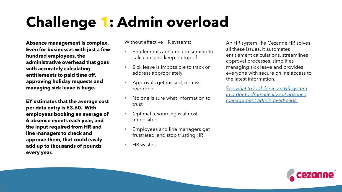## **Challenge 1: Admin overload**

**Absence management is complex. Even for businesses with just a few hundred employees, the administrative overhead that goes with accurately calculating entitlements to paid time off, approving holiday requests and managing sick leave is huge.** 

**EY estimates that the average cost per data entry is £3.60. With employees booking an average of 6 absence events each year, and the input required from HR and line managers to check and approve them, that could easily add up to thousands of pounds every year.** 

Without effective HR systems:

- Entitlements are time-consuming to calculate and keep on top of
- Sick leave is impossible to track or address appropriately
- Approvals get missed, or missrecorded
- No one is sure what information to trust
- Optimal resourcing is almost impossible
- Employees and line managers get frustrated, and stop trusting HR
- HR wastes

An HR system like Cezanne HR solves all these issues. It automates entitlement calculations, streamlines approval processes, simplifies managing sick leave and provides everyone with secure online access to the latest information.

*See what to look for in an HR system [in order to dramatically cut absence](https://cezannehr.com/hr-blog/2022/03/5-absence-management-hr-features/)  management admin overheads.* 

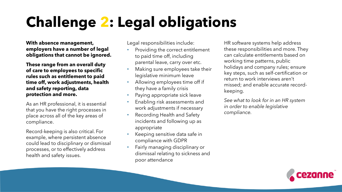# **Challenge 2: Legal obligations**

**With absence management, employers have a number of legal obligations that cannot be ignored.**

**These range from an overall duty of care to employees to specific rules such as entitlement to paid time off, work adjustments, health and safety reporting, data protection and more.**

As an HR professional, it is essential that you have the right processes in place across all of the key areas of compliance.

Record-keeping is also critical. For example, where persistent absence could lead to disciplinary or dismissal processes, or to effectively address health and safety issues.

Legal responsibilities include:

- Providing the correct entitlement to paid time off, including parental leave, carry over etc.
- Making sure employees take their legislative minimum leave
- Allowing employees time off if they have a family crisis
- Paying appropriate sick leave
- Enabling risk assessments and work adjustments if necessary
- Recording Health and Safety incidents and following up as appropriate
- Keeping sensitive data safe in compliance with GDPR
- Fairly managing disciplinary or dismissal relating to sickness and poor attendance

HR software systems help address these responsibilities and more. They can calculate entitlements based on working time patterns, public holidays and company rules; ensure key steps, such as self-certification or return to work interviews aren't missed; and enable accurate recordkeeping.

*See what to look for in an HR system in order to enable legislative compliance.*

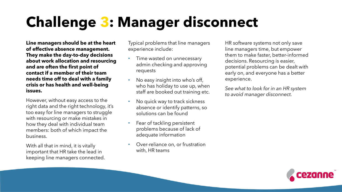## **Challenge 3: Manager disconnect**

**Line managers should be at the heart of effective absence management. They make the day-to-day decisions about work allocation and resourcing and are often the first point of contact if a member of their team needs time off to deal with a family crisis or has health and well-being issues.**

However, without easy access to the right data and the right technology, it's too easy for line managers to struggle with resourcing or make mistakes in how they deal with individual team members: both of which impact the business.

With all that in mind, it is vitally important that HR take the lead in keeping line managers connected. Typical problems that line managers experience include:

- Time wasted on unnecessary admin checking and approving requests
- No easy insight into who's off, who has holiday to use up, when staff are booked out training etc.
- No quick way to track sickness absence or identify patterns, so solutions can be found
- Fear of tackling persistent problems because of lack of adequate information
- Over-reliance on, or frustration with, HR teams

HR software systems not only save line managers time, but empower them to make faster, better-informed decisions. Resourcing is easier, potential problems can be dealt with early on, and everyone has a better experience.

*See what to look for in an HR system to avoid manager disconnect.*

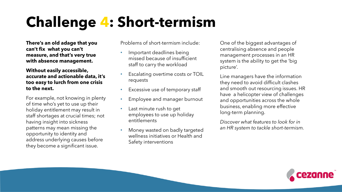## **Challenge 4: Short-termism**

**There's an old adage that you can't fix what you can't measure, and that's very true with absence management.**

**Without easily accessible, accurate and actionable data, it's too easy to lurch from one crisis to the next.** 

For example, not knowing in plenty of time who's yet to use up their holiday entitlement may result in staff shortages at crucial times; not having insight into sickness patterns may mean missing the opportunity to identity and address underlying causes before they become a significant issue.

Problems of short-termism include:

- Important deadlines being missed because of insufficient staff to carry the workload
- Escalating overtime costs or TOIL requests
- Excessive use of temporary staff
- Employee and manager burnout
- Last minute rush to get employees to use up holiday entitlements
- Money wasted on badly targeted wellness initiatives or Health and Safety interventions

One of the biggest advantages of centralising absence and people management processes in an HR system is the ability to get the 'big picture'.

Line managers have the information they need to avoid difficult clashes and smooth out resourcing issues. HR have a helicopter view of challenges and opportunities across the whole business, enabling more effective long-term planning.

*Discover what features to look for in an HR system to tackle short-termism.*

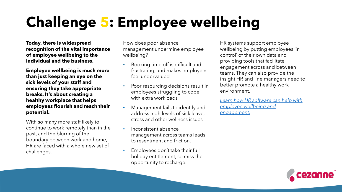# **Challenge 5: Employee wellbeing**

**Today, there is widespread recognition of the vital importance of employee wellbeing to the individual and the business.** 

**Employee wellbeing is much more than just keeping an eye on the sick levels of your staff and ensuring they take appropriate breaks. It's about creating a healthy workplace that helps employees flourish and reach their potential.** 

With so many more staff likely to continue to work remotely than in the past, and the blurring of the boundary between work and home, HR are faced with a whole new set of challenges.

How does poor absence management undermine employee wellbeing?

- Booking time off is difficult and frustrating, and makes employees feel undervalued
- Poor resourcing decisions result in employees struggling to cope with extra workloads
- Management fails to identify and address high levels of sick leave, stress and other wellness issues
- Inconsistent absence management across teams leads to resentment and friction.
- Employees don't take their full holiday entitlement, so miss the opportunity to recharge.

HR systems support employee wellbeing by putting employees 'in control' of their own data and providing tools that facilitate engagement across and between teams. They can also provide the insight HR and line managers need to better promote a healthy work environment.

*[Learn how HR software can help with](https://cezannehr.com/hr-blog/2021/10/hr-software-supports-staff-wellbeing/) employee wellbeing and engagement.*